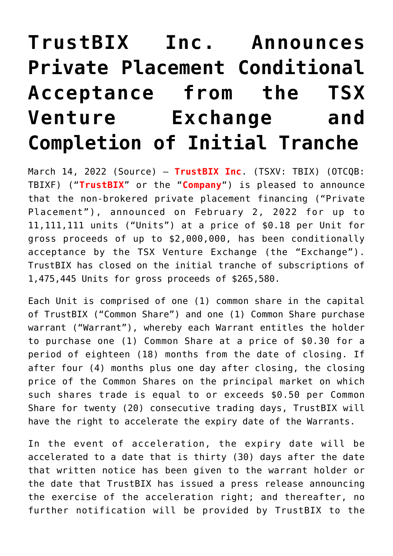## **[TrustBIX Inc. Announces](https://investorintel.com/markets/technology/technology-news/trustbix-inc-announces-private-placement-conditional-acceptance-from-the-tsx-venture-exchange-and-completion-of-initial-tranche/) [Private Placement Conditional](https://investorintel.com/markets/technology/technology-news/trustbix-inc-announces-private-placement-conditional-acceptance-from-the-tsx-venture-exchange-and-completion-of-initial-tranche/) [Acceptance from the TSX](https://investorintel.com/markets/technology/technology-news/trustbix-inc-announces-private-placement-conditional-acceptance-from-the-tsx-venture-exchange-and-completion-of-initial-tranche/) [Venture Exchange and](https://investorintel.com/markets/technology/technology-news/trustbix-inc-announces-private-placement-conditional-acceptance-from-the-tsx-venture-exchange-and-completion-of-initial-tranche/) [Completion of Initial Tranche](https://investorintel.com/markets/technology/technology-news/trustbix-inc-announces-private-placement-conditional-acceptance-from-the-tsx-venture-exchange-and-completion-of-initial-tranche/)**

March 14, 2022 ([Source](https://www.newsfilecorp.com/release/116716/TRUSTBIX-INC.-Announces-Private-Placement-Conditional-Acceptance-from-the-TSX-Venture-Exchange-and-Completion-of-Initial-Tranche)) — **TrustBIX Inc**. (TSXV: TBIX) (OTCQB: TBIXF) ("**TrustBIX**" or the "**Company**") is pleased to announce that the non-brokered private placement financing ("Private Placement"), announced on February 2, 2022 for up to 11,111,111 units ("Units") at a price of \$0.18 per Unit for gross proceeds of up to \$2,000,000, has been conditionally acceptance by the TSX Venture Exchange (the "Exchange"). TrustBIX has closed on the initial tranche of subscriptions of 1,475,445 Units for gross proceeds of \$265,580.

Each Unit is comprised of one (1) common share in the capital of TrustBIX ("Common Share") and one (1) Common Share purchase warrant ("Warrant"), whereby each Warrant entitles the holder to purchase one (1) Common Share at a price of \$0.30 for a period of eighteen (18) months from the date of closing. If after four (4) months plus one day after closing, the closing price of the Common Shares on the principal market on which such shares trade is equal to or exceeds \$0.50 per Common Share for twenty (20) consecutive trading days, TrustBIX will have the right to accelerate the expiry date of the Warrants.

In the event of acceleration, the expiry date will be accelerated to a date that is thirty (30) days after the date that written notice has been given to the warrant holder or the date that TrustBIX has issued a press release announcing the exercise of the acceleration right; and thereafter, no further notification will be provided by TrustBIX to the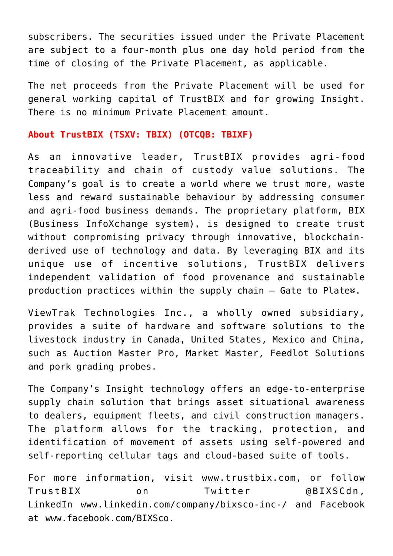subscribers. The securities issued under the Private Placement are subject to a four-month plus one day hold period from the time of closing of the Private Placement, as applicable.

The net proceeds from the Private Placement will be used for general working capital of TrustBIX and for growing Insight. There is no minimum Private Placement amount.

## **About TrustBIX (TSXV: TBIX) (OTCQB: TBIXF)**

As an innovative leader, TrustBIX provides agri-food traceability and chain of custody value solutions. The Company's goal is to create a world where we trust more, waste less and reward sustainable behaviour by addressing consumer and agri-food business demands. The proprietary platform, BIX (Business InfoXchange system), is designed to create trust without compromising privacy through innovative, blockchainderived use of technology and data. By leveraging BIX and its unique use of incentive solutions, TrustBIX delivers independent validation of food provenance and sustainable production practices within the supply chain – Gate to Plate®.

ViewTrak Technologies Inc., a wholly owned subsidiary, provides a suite of hardware and software solutions to the livestock industry in Canada, United States, Mexico and China, such as Auction Master Pro, Market Master, Feedlot Solutions and pork grading probes.

The Company's Insight technology offers an edge-to-enterprise supply chain solution that brings asset situational awareness to dealers, equipment fleets, and civil construction managers. The platform allows for the tracking, protection, and identification of movement of assets using self-powered and self-reporting cellular tags and cloud-based suite of tools.

For more information, visit [www.trustbix.com,](https://www.newsfilecorp.com/redirect/jVeEvuEkp8) or follow TrustBIX on Twitter @BIXSCdn, LinkedIn [www.linkedin.com/company/bixsco-inc-/](https://www.newsfilecorp.com/redirect/vR2ewTkeKv) and Facebook at [www.facebook.com/BIXSco.](https://www.newsfilecorp.com/redirect/JZzNVUjEwz)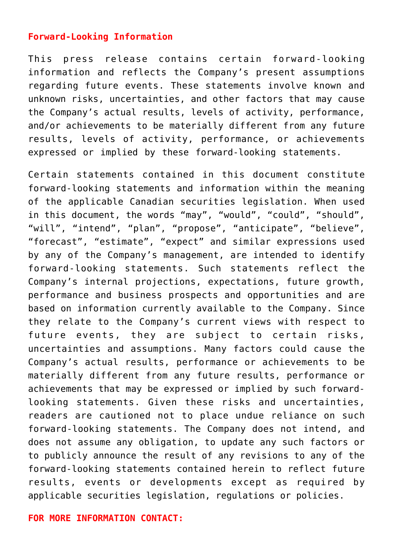## **Forward-Looking Information**

This press release contains certain forward-looking information and reflects the Company's present assumptions regarding future events. These statements involve known and unknown risks, uncertainties, and other factors that may cause the Company's actual results, levels of activity, performance, and/or achievements to be materially different from any future results, levels of activity, performance, or achievements expressed or implied by these forward-looking statements.

Certain statements contained in this document constitute forward-looking statements and information within the meaning of the applicable Canadian securities legislation. When used in this document, the words "may", "would", "could", "should", "will", "intend", "plan", "propose", "anticipate", "believe", "forecast", "estimate", "expect" and similar expressions used by any of the Company's management, are intended to identify forward-looking statements. Such statements reflect the Company's internal projections, expectations, future growth, performance and business prospects and opportunities and are based on information currently available to the Company. Since they relate to the Company's current views with respect to future events, they are subject to certain risks, uncertainties and assumptions. Many factors could cause the Company's actual results, performance or achievements to be materially different from any future results, performance or achievements that may be expressed or implied by such forwardlooking statements. Given these risks and uncertainties, readers are cautioned not to place undue reliance on such forward-looking statements. The Company does not intend, and does not assume any obligation, to update any such factors or to publicly announce the result of any revisions to any of the forward-looking statements contained herein to reflect future results, events or developments except as required by applicable securities legislation, regulations or policies.

## **FOR MORE INFORMATION CONTACT:**